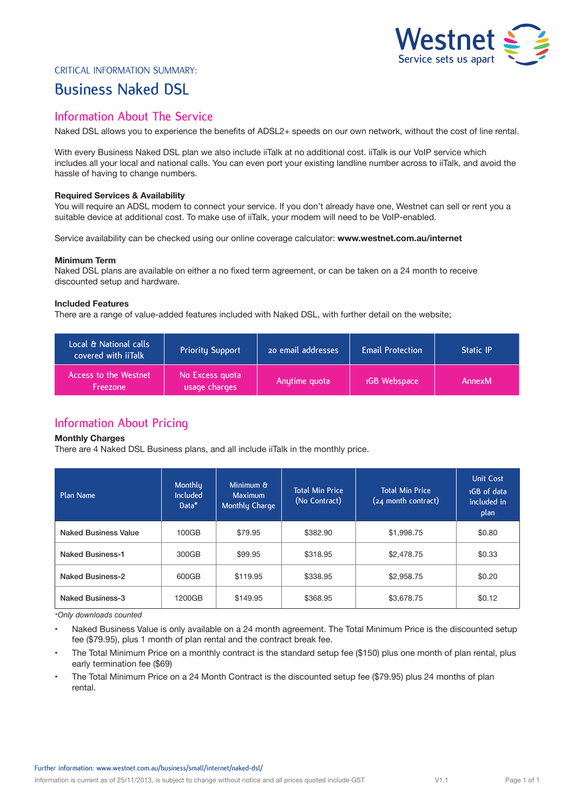

### Critical Information Summary:

# **Business Naked DSL**

## **Information About The Service**

Naked DSL allows you to experience the benefits of ADSL2+ speeds on our own network, without the cost of line rental.

With every Business Naked DSL plan we also include iiTalk at no additional cost. iiTalk is our VoIP service which includes all your local and national calls. You can even port your existing landline number across to iiTalk, and avoid the hassle of having to change numbers.

#### **Required Services & Availability**

You will require an ADSL modem to connect your service. If you don't already have one, Westnet can sell or rent you a suitable device at additional cost. To make use of iiTalk, your modem will need to be VoIP-enabled.

Service availability can be checked using our online coverage calculator: **www.westnet.com.au/internet**

#### **Minimum Term**

Naked DSL plans are available on either a no fixed term agreement, or can be taken on a 24 month to receive discounted setup and hardware.

### **Included Features**

There are a range of value-added features included with Naked DSL, with further detail on the website;

| Local & National calls<br>covered with iiTalk | <b>Priority Support</b>          | 20 email addresses | <b>Email Protection</b> | <b>Static IP</b> |
|-----------------------------------------------|----------------------------------|--------------------|-------------------------|------------------|
| Access to the Westnet<br><b>Freezone</b>      | No Excess quota<br>usage charges | Anytime quota      | 1GB Webspace            | AnnexM           |

# **Information About Pricing**

#### **Monthly Charges**

There are 4 Naked DSL Business plans, and all include iiTalk in the monthly price.

| Plan Name                   | Monthly<br><b>Included</b><br>Data* | Minimum &<br><b>Maximum</b><br>Monthly Charge | <b>Total Min Price</b><br>(No Contract) | <b>Total Min Price</b><br>(24 month contract) | <b>Unit Cost</b><br>1GB of data<br>included in<br>plan |
|-----------------------------|-------------------------------------|-----------------------------------------------|-----------------------------------------|-----------------------------------------------|--------------------------------------------------------|
| <b>Naked Business Value</b> | 100GB                               | \$79.95                                       | \$382.90                                | \$1,998.75                                    | \$0.80                                                 |
| <b>Naked Business-1</b>     | 300GB                               | \$99.95                                       | \$318.95                                | \$2,478.75                                    | \$0.33                                                 |
| <b>Naked Business-2</b>     | 600GB                               | \$119.95                                      | \$338.95                                | \$2,958.75                                    | \$0.20                                                 |
| <b>Naked Business-3</b>     | 1200GB                              | \$149.95                                      | \$368.95                                | \$3,678.75                                    | \$0.12                                                 |

*\*Only downloads counted*

• Naked Business Value is only available on a 24 month agreement. The Total Minimum Price is the discounted setup fee (\$79.95), plus 1 month of plan rental and the contract break fee.

- The Total Minimum Price on a monthly contract is the standard setup fee (\$150) plus one month of plan rental, plus early termination fee (\$69)
- The Total Minimum Price on a 24 Month Contract is the discounted setup fee (\$79.95) plus 24 months of plan rental.